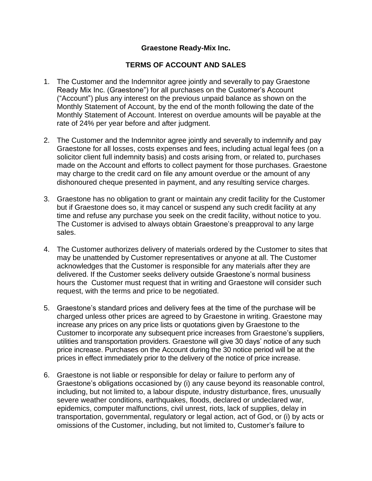## **Graestone Ready-Mix Inc.**

## **TERMS OF ACCOUNT AND SALES**

- 1. The Customer and the Indemnitor agree jointly and severally to pay Graestone Ready Mix Inc. (Graestone") for all purchases on the Customer's Account ("Account") plus any interest on the previous unpaid balance as shown on the Monthly Statement of Account, by the end of the month following the date of the Monthly Statement of Account. Interest on overdue amounts will be payable at the rate of 24% per year before and after judgment.
- 2. The Customer and the Indemnitor agree jointly and severally to indemnify and pay Graestone for all losses, costs expenses and fees, including actual legal fees (on a solicitor client full indemnity basis) and costs arising from, or related to, purchases made on the Account and efforts to collect payment for those purchases. Graestone may charge to the credit card on file any amount overdue or the amount of any dishonoured cheque presented in payment, and any resulting service charges.
- 3. Graestone has no obligation to grant or maintain any credit facility for the Customer but if Graestone does so, it may cancel or suspend any such credit facility at any time and refuse any purchase you seek on the credit facility, without notice to you. The Customer is advised to always obtain Graestone's preapproval to any large sales.
- 4. The Customer authorizes delivery of materials ordered by the Customer to sites that may be unattended by Customer representatives or anyone at all. The Customer acknowledges that the Customer is responsible for any materials after they are delivered. If the Customer seeks delivery outside Graestone's normal business hours the Customer must request that in writing and Graestone will consider such request, with the terms and price to be negotiated.
- 5. Graestone's standard prices and delivery fees at the time of the purchase will be charged unless other prices are agreed to by Graestone in writing. Graestone may increase any prices on any price lists or quotations given by Graestone to the Customer to incorporate any subsequent price increases from Graestone's suppliers, utilities and transportation providers. Graestone will give 30 days' notice of any such price increase. Purchases on the Account during the 30 notice period will be at the prices in effect immediately prior to the delivery of the notice of price increase.
- 6. Graestone is not liable or responsible for delay or failure to perform any of Graestone's obligations occasioned by (i) any cause beyond its reasonable control, including, but not limited to, a labour dispute, industry disturbance, fires, unusually severe weather conditions, earthquakes, floods, declared or undeclared war, epidemics, computer malfunctions, civil unrest, riots, lack of supplies, delay in transportation, governmental, regulatory or legal action, act of God, or (i) by acts or omissions of the Customer, including, but not limited to, Customer's failure to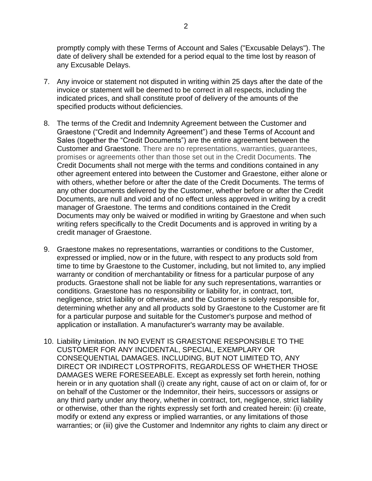promptly comply with these Terms of Account and Sales ("Excusable Delays"). The date of delivery shall be extended for a period equal to the time lost by reason of any Excusable Delays.

- 7. Any invoice or statement not disputed in writing within 25 days after the date of the invoice or statement will be deemed to be correct in all respects, including the indicated prices, and shall constitute proof of delivery of the amounts of the specified products without deficiencies.
- 8. The terms of the Credit and Indemnity Agreement between the Customer and Graestone ("Credit and Indemnity Agreement") and these Terms of Account and Sales (together the "Credit Documents") are the entire agreement between the Customer and Graestone. There are no representations, warranties, guarantees, promises or agreements other than those set out in the Credit Documents. The Credit Documents shall not merge with the terms and conditions contained in any other agreement entered into between the Customer and Graestone, either alone or with others, whether before or after the date of the Credit Documents. The terms of any other documents delivered by the Customer, whether before or after the Credit Documents, are null and void and of no effect unless approved in writing by a credit manager of Graestone. The terms and conditions contained in the Credit Documents may only be waived or modified in writing by Graestone and when such writing refers specifically to the Credit Documents and is approved in writing by a credit manager of Graestone.
- 9. Graestone makes no representations, warranties or conditions to the Customer, expressed or implied, now or in the future, with respect to any products sold from time to time by Graestone to the Customer, including, but not limited to, any implied warranty or condition of merchantability or fitness for a particular purpose of any products. Graestone shall not be liable for any such representations, warranties or conditions. Graestone has no responsibility or liability for, in contract, tort, negligence, strict liability or otherwise, and the Customer is solely responsible for, determining whether any and all products sold by Graestone to the Customer are fit for a particular purpose and suitable for the Customer's purpose and method of application or installation. A manufacturer's warranty may be available.
- 10. Liability Limitation. IN NO EVENT IS GRAESTONE RESPONSIBLE TO THE CUSTOMER FOR ANY INCIDENTAL, SPECIAL, EXEMPLARY OR CONSEQUENTIAL DAMAGES. INCLUDING, BUT NOT LIMITED TO, ANY DIRECT OR INDIRECT LOSTPROFITS, REGARDLESS OF WHETHER THOSE DAMAGES WERE FORESEEABLE. Except as expressly set forth herein, nothing herein or in any quotation shall (i) create any right, cause of act on or claim of, for or on behalf of the Customer or the Indemnitor, their heirs, successors or assigns or any third party under any theory, whether in contract, tort, negligence, strict liability or otherwise, other than the rights expressly set forth and created herein: (ii) create, modify or extend any express or implied warranties, or any limitations of those warranties; or (iii) give the Customer and Indemnitor any rights to claim any direct or